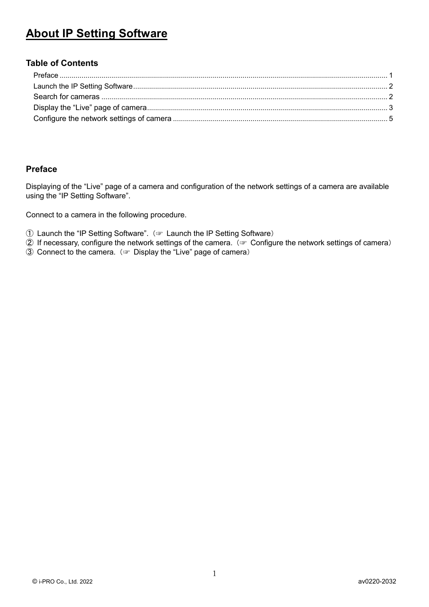# **About IP Setting Software**

### **Table of Contents**

### <span id="page-0-0"></span>**Preface**

Displaying of the "Live" page of a camera and configuration of the network settings of a camera are available using the "IP Setting Software".

Connect to a camera in the following procedure.

- ① Launch the "IP Setting Software".(☞ [Launch the IP Setting Software](#page-1-0))
- ② If necessary, configure the network settings of the camera.(☞ [Configure the network settings of camera](#page-4-0))
- ③ Connect to the camera.(☞ [Display the "Live" page of camera](#page-2-0))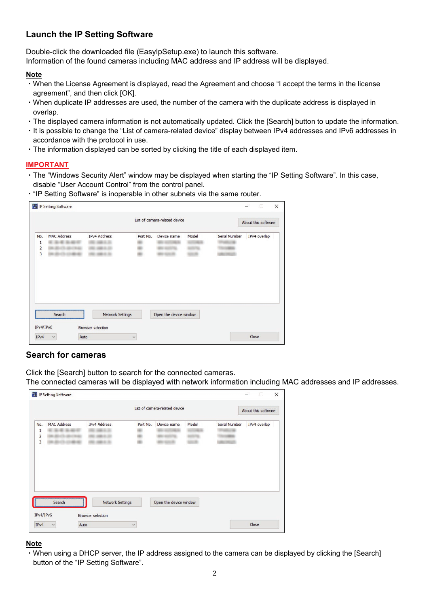# <span id="page-1-0"></span>**Launch the IP Setting Software**

Double-click the downloaded file (EasyIpSetup.exe) to launch this software.

Information of the found cameras including MAC address and IP address will be displayed.

### **Note**

- ・When the License Agreement is displayed, read the Agreement and choose "I accept the terms in the license agreement", and then click [OK].
- ・When duplicate IP addresses are used, the number of the camera with the duplicate address is displayed in overlap.
- ・The displayed camera information is not automatically updated. Click the [Search] button to update the information.
- ・It is possible to change the "List of camera-related device" display between IPv4 addresses and IPv6 addresses in accordance with the protocol in use.
- ・The information displayed can be sorted by clicking the title of each displayed item.

### **IMPORTANT**

- ・The "Windows Security Alert" window may be displayed when starting the "IP Setting Software". In this case, disable "User Account Control" from the control panel.
- ・"IP Setting Software" is inoperable in other subnets via the same router.

|                                                                |                    |                         |          | List of camera-related device |       |                      | About this software |
|----------------------------------------------------------------|--------------------|-------------------------|----------|-------------------------------|-------|----------------------|---------------------|
| No.<br>1<br>$\overline{\mathbf{c}}$<br>$\overline{\mathbf{3}}$ | <b>MAC Address</b> | IPv4 Address            | Port No. | Device name                   | Model | <b>Serial Number</b> | IPv4 overlap        |
|                                                                | Search             | <b>Network Settings</b> |          | Open the device window        |       |                      |                     |

### <span id="page-1-1"></span>**Search for cameras**

Click the [Search] button to search for the connected cameras.

The connected cameras will be displayed with network information including MAC addresses and IP addresses.

|                                          |                    |                         |          | List of camera-related device |       |                      | About this software |
|------------------------------------------|--------------------|-------------------------|----------|-------------------------------|-------|----------------------|---------------------|
| No.<br>1<br>$\overline{\mathbf{c}}$<br>3 | <b>MAC Address</b> | IPv4 Address            | Port No. | Device name                   | Model | <b>Serial Number</b> | IPv4 overlap        |
|                                          | Search             | <b>Network Settings</b> |          | Open the device window        |       |                      |                     |

### **Note**

・When using a DHCP server, the IP address assigned to the camera can be displayed by clicking the [Search] button of the "IP Setting Software".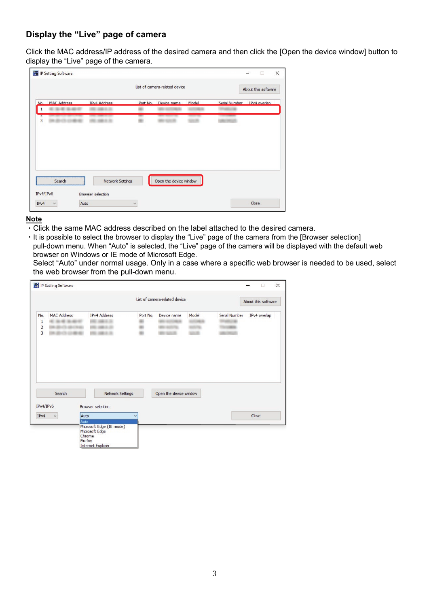# <span id="page-2-0"></span>**Display the "Live" page of camera**

Click the MAC address/IP address of the desired camera and then click the [Open the device window] button to display the "Live" page of the camera.

|   |                 |                         | List of camera-related device |       | About this software        |
|---|-----------------|-------------------------|-------------------------------|-------|----------------------------|
|   | No. MAC Address | <b>IPv4 Address</b>     | Port No. Device name          | Model | Serial Number IPv4 overlap |
| 3 |                 |                         |                               |       |                            |
|   |                 |                         |                               |       |                            |
|   |                 |                         |                               |       |                            |
|   |                 |                         |                               |       |                            |
|   | Search          | <b>Network Settings</b> | Open the device window        |       |                            |

### **Note**

- ・Click the same MAC address described on the label attached to the desired camera.
- ・It is possible to select the browser to display the "Live" page of the camera from the [Browser selection] pull-down menu. When "Auto" is selected, the "Live" page of the camera will be displayed with the default web browser on Windows or IE mode of Microsoft Edge.

Select "Auto" under normal usage. Only in a case where a specific web browser is needed to be used, select the web browser from the pull-down menu.

|                           |                    |                          |              | List of camera-related device |       |               | About this software |
|---------------------------|--------------------|--------------------------|--------------|-------------------------------|-------|---------------|---------------------|
| No.<br>1<br>$\frac{2}{3}$ | <b>MAC Address</b> | <b>IPv4 Address</b>      | Port No.     | Device name                   | Model | Serial Number | IPv4 overlap        |
|                           |                    |                          |              |                               |       |               |                     |
|                           |                    |                          |              |                               |       |               |                     |
|                           | Search             | <b>Network Settings</b>  |              | Open the device window        |       |               |                     |
| IPv4/IPv6<br>IPv4         | Auto               | <b>Browser</b> selection | $\checkmark$ |                               |       |               | Close               |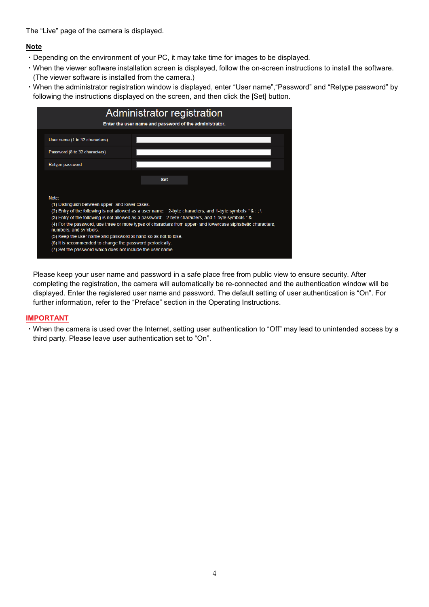The "Live" page of the camera is displayed.

### **Note**

- ・Depending on the environment of your PC, it may take time for images to be displayed.
- ・When the viewer software installation screen is displayed, follow the on-screen instructions to install the software. (The viewer software is installed from the camera.)
- ・When the administrator registration window is displayed, enter "User name","Password" and "Retype password" by following the instructions displayed on the screen, and then click the [Set] button.



Please keep your user name and password in a safe place free from public view to ensure security. After completing the registration, the camera will automatically be re-connected and the authentication window will be displayed. Enter the registered user name and password. The default setting of user authentication is "On". For further information, refer to the "Preface" section in the Operating Instructions.

### **IMPORTANT**

・When the camera is used over the Internet, setting user authentication to "Off" may lead to unintended access by a third party. Please leave user authentication set to "On".